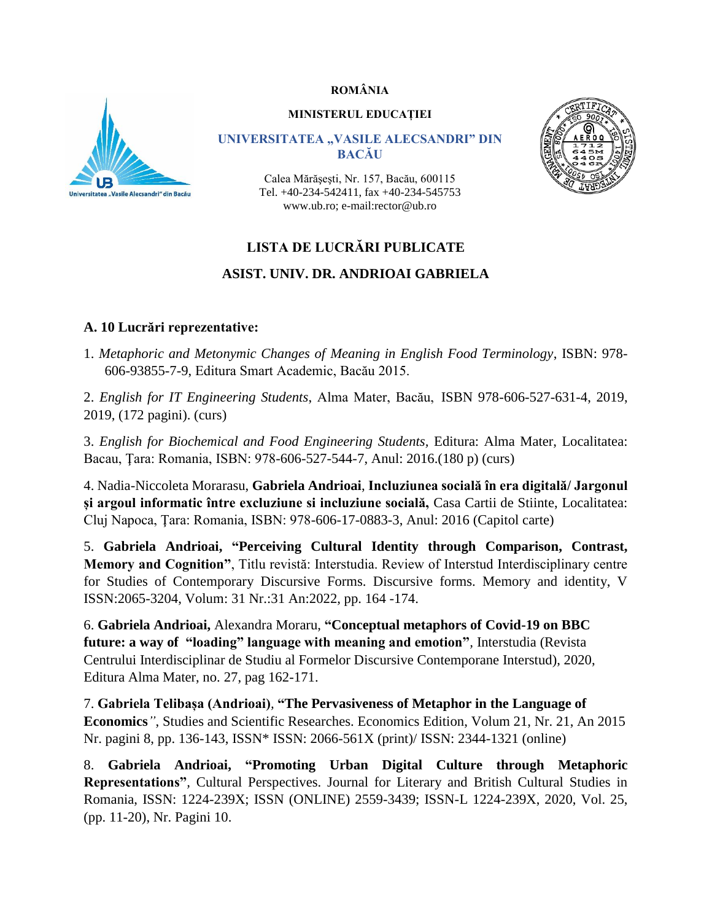### **ROMÂNIA**



#### **MINISTERUL EDUCAȚIEI**

#### **UNIVERSITATEA "VASILE ALECSANDRI" DIN BACĂU**

Calea Mărăşeşti, Nr. 157, Bacău, 600115 Tel. +40-234-542411, fax +40-234-545753 www.ub.ro; e-mail:rector@ub.ro



### **LISTA DE LUCRĂRI PUBLICATE**

### **ASIST. UNIV. DR. ANDRIOAI GABRIELA**

### **A. 10 Lucrări reprezentative:**

1. *Metaphoric and Metonymic Changes of Meaning in English Food Terminology*, ISBN: 978- 606-93855-7-9, Editura Smart Academic, Bacău 2015.

2. *English for IT Engineering Students*, Alma Mater, Bacău, ISBN 978-606-527-631-4, 2019, 2019, (172 pagini). (curs)

3. *English for Biochemical and Food Engineering Students,* Editura: Alma Mater, Localitatea: Bacau, Ţara: Romania, ISBN: 978-606-527-544-7, Anul: 2016.(180 p) (curs)

4. Nadia-Niccoleta Morarasu, **Gabriela Andrioai**, **Incluziunea socială în era digitală/ Jargonul și argoul informatic între excluziune si incluziune socială,** Casa Cartii de Stiinte, Localitatea: Cluj Napoca, Ţara: Romania, ISBN: 978-606-17-0883-3, Anul: 2016 (Capitol carte)

5. **Gabriela Andrioai, "Perceiving Cultural Identity through Comparison, Contrast, Memory and Cognition"**, Titlu revistă: Interstudia. Review of Interstud Interdisciplinary centre for Studies of Contemporary Discursive Forms. Discursive forms. Memory and identity, V ISSN:2065-3204, Volum: 31 Nr.:31 An:2022, pp. 164 -174.

6. **Gabriela Andrioai,** Alexandra Moraru, **"Conceptual metaphors of Covid-19 on BBC future: a way of "loading" language with meaning and emotion"***,* Interstudia (Revista Centrului Interdisciplinar de Studiu al Formelor Discursive Contemporane Interstud), 2020, Editura Alma Mater, no. 27, pag 162-171.

7. **Gabriela Telibașa (Andrioai)***,* **"The Pervasiveness of Metaphor in the Language of Economics***"*, Studies and Scientific Researches. Economics Edition, Volum 21, Nr. 21, An 2015 Nr. pagini 8, pp. 136-143, ISSN\* ISSN: 2066-561X (print)/ ISSN: 2344-1321 (online)

8. **Gabriela Andrioai, "Promoting Urban Digital Culture through Metaphoric Representations"***,* Cultural Perspectives. Journal for Literary and British Cultural Studies in Romania, ISSN: 1224-239X; ISSN (ONLINE) 2559-3439; ISSN-L 1224-239X, 2020, Vol. 25, (pp. 11-20), Nr. Pagini 10.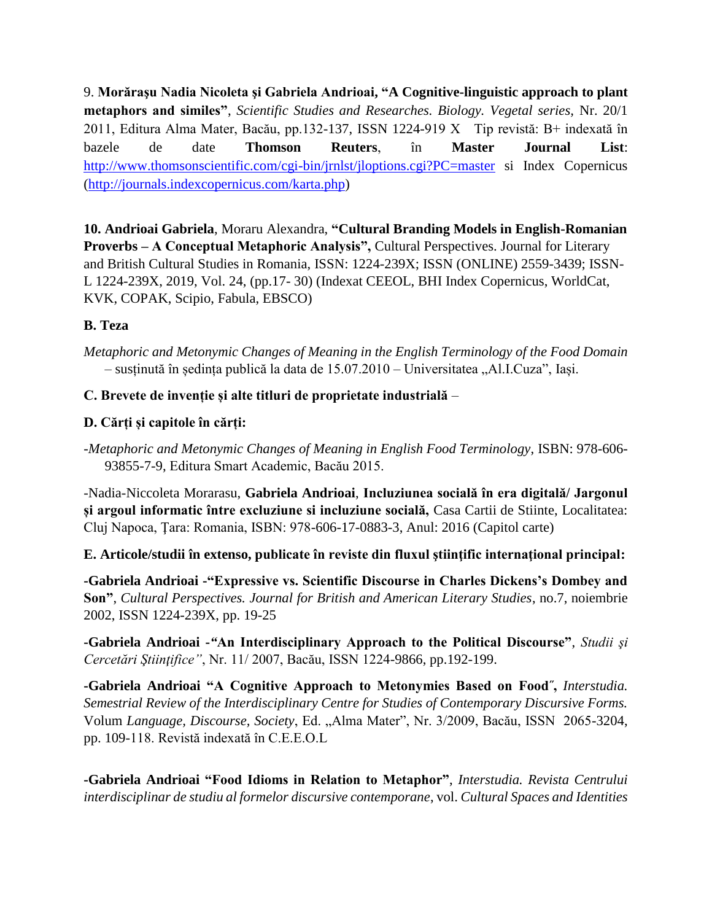9. **Morăraşu Nadia Nicoleta şi Gabriela Andrioai, "A Cognitive-linguistic approach to plant metaphors and similes"**, *Scientific Studies and Researches. Biology. Vegetal series,* Nr. 20/1 2011, Editura Alma Mater, Bacău, pp.132-137, ISSN 1224-919 X Tip revistă: B+ indexată în bazele de date **Thomson Reuters**, în **Master Journal List**: <http://www.thomsonscientific.com/cgi-bin/jrnlst/jloptions.cgi?PC=master> si Index Copernicus [\(http://journals.indexcopernicus.com/karta.php\)](http://journals.indexcopernicus.com/karta.php)

**10. Andrioai Gabriela**, Moraru Alexandra, **"Cultural Branding Models in English-Romanian Proverbs – A Conceptual Metaphoric Analysis",** Cultural Perspectives. Journal for Literary and British Cultural Studies in Romania, ISSN: 1224-239X; ISSN (ONLINE) 2559-3439; ISSN-L 1224-239X, 2019, Vol. 24, (pp.17- 30) (Indexat CEEOL, BHI Index Copernicus, WorldCat, KVK, COPAK, Scipio, Fabula, EBSCO)

# **B. Teza**

*Metaphoric and Metonymic Changes of Meaning in the English Terminology of the Food Domain* – susținută în ședința publică la data de 15.07.2010 – Universitatea "Al.I.Cuza", Iași.

# **C. Brevete de invenție și alte titluri de proprietate industrială** –

# **D. Cărți și capitole în cărți:**

*-Metaphoric and Metonymic Changes of Meaning in English Food Terminology*, ISBN: 978-606- 93855-7-9, Editura Smart Academic, Bacău 2015.

-Nadia-Niccoleta Morarasu, **Gabriela Andrioai**, **Incluziunea socială în era digitală/ Jargonul și argoul informatic între excluziune si incluziune socială,** Casa Cartii de Stiinte, Localitatea: Cluj Napoca, Ţara: Romania, ISBN: 978-606-17-0883-3, Anul: 2016 (Capitol carte)

**E. Articole/studii în extenso, publicate în reviste din fluxul ştiinţific internaţional principal:**

**-Gabriela Andrioai -"Expressive vs. Scientific Discourse in Charles Dickens's Dombey and Son"**, *Cultural Perspectives. Journal for British and American Literary Studies*, no.7, noiembrie 2002, ISSN 1224-239X, pp. 19-25

**-Gabriela Andrioai -***"***An Interdisciplinary Approach to the Political Discourse"**, *Studii şi Cercetări Ştiinţifice"*, Nr. 11/ 2007, Bacău, ISSN 1224-9866, pp.192-199.

**-Gabriela Andrioai "A Cognitive Approach to Metonymies Based on Food˝,** *Interstudia. Semestrial Review of the Interdisciplinary Centre for Studies of Contemporary Discursive Forms.*  Volum *Language, Discourse, Society*, Ed. "Alma Mater", Nr. 3/2009, Bacău, ISSN 2065-3204, pp. 109-118. Revistă indexată în C.E.E.O.L

**-Gabriela Andrioai "Food Idioms in Relation to Metaphor"**, *Interstudia. Revista Centrului interdisciplinar de studiu al formelor discursive contemporane*, vol. *Cultural Spaces and Identities*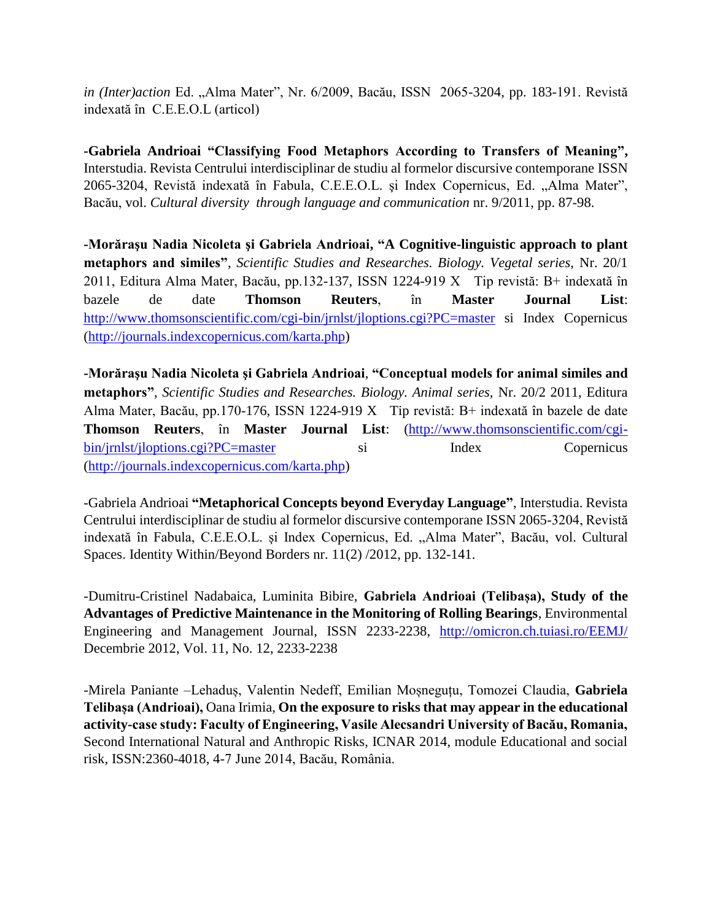*in (Inter)action* Ed. "Alma Mater", Nr. 6/2009, Bacău, ISSN 2065-3204, pp. 183-191. Revistă indexată în C.E.E.O.L (articol)

**-Gabriela Andrioai "Classifying Food Metaphors According to Transfers of Meaning",** Interstudia. Revista Centrului interdisciplinar de studiu al formelor discursive contemporane ISSN 2065-3204, Revistă indexată în Fabula, C.E.E.O.L. și Index Copernicus, Ed. "Alma Mater", Bacău, vol. *Cultural diversity through language and communication* nr. 9/2011, pp. 87-98.

**-Morăraşu Nadia Nicoleta şi Gabriela Andrioai, "A Cognitive-linguistic approach to plant metaphors and similes"**, *Scientific Studies and Researches. Biology. Vegetal series,* Nr. 20/1 2011, Editura Alma Mater, Bacău, pp.132-137, ISSN 1224-919 X Tip revistă: B+ indexată în bazele de date **Thomson Reuters**, în **Master Journal List**: <http://www.thomsonscientific.com/cgi-bin/jrnlst/jloptions.cgi?PC=master> si Index Copernicus [\(http://journals.indexcopernicus.com/karta.php\)](http://journals.indexcopernicus.com/karta.php)

**-Morăraşu Nadia Nicoleta şi Gabriela Andrioai**, **"Conceptual models for animal similes and metaphors"**, *Scientific Studies and Researches. Biology. Animal series,* Nr. 20/2 2011, Editura Alma Mater, Bacău, pp.170-176, ISSN 1224-919 X Tip revistă: B+ indexată în bazele de date **Thomson Reuters**, în **Master Journal List**: [\(http://www.thomsonscientific.com/cgi](http://www.thomsonscientific.com/cgi-bin/jrnlst/jloptions.cgi?PC=master)[bin/jrnlst/jloptions.cgi?PC=master](http://www.thomsonscientific.com/cgi-bin/jrnlst/jloptions.cgi?PC=master) si Index Copernicus [\(http://journals.indexcopernicus.com/karta.php\)](http://journals.indexcopernicus.com/karta.php)

-Gabriela Andrioai **"Metaphorical Concepts beyond Everyday Language"**, Interstudia. Revista Centrului interdisciplinar de studiu al formelor discursive contemporane ISSN 2065-3204, Revistă indexată în Fabula, C.E.E.O.L. și Index Copernicus, Ed. "Alma Mater", Bacău, vol. Cultural Spaces. Identity Within/Beyond Borders nr. 11(2) /2012, pp. 132-141.

-Dumitru-Cristinel Nadabaica, Luminita Bibire, **Gabriela Andrioai (Telibașa), Study of the Advantages of Predictive Maintenance in the Monitoring of Rolling Bearings**, Environmental Engineering and Management Journal, ISSN 2233-2238, <http://omicron.ch.tuiasi.ro/EEMJ/> Decembrie 2012, Vol. 11, No. 12, 2233-2238

-Mirela Paniante –Lehaduș, Valentin Nedeff, Emilian Moșneguțu, Tomozei Claudia, **Gabriela Telibașa (Andrioai),** Oana Irimia, **On the exposure to risks that may appear in the educational activity-case study: Faculty of Engineering, Vasile Alecsandri University of Bacău, Romania,**  Second International Natural and Anthropic Risks, ICNAR 2014, module Educational and social risk, ISSN:2360-4018, 4-7 June 2014, Bacău, România.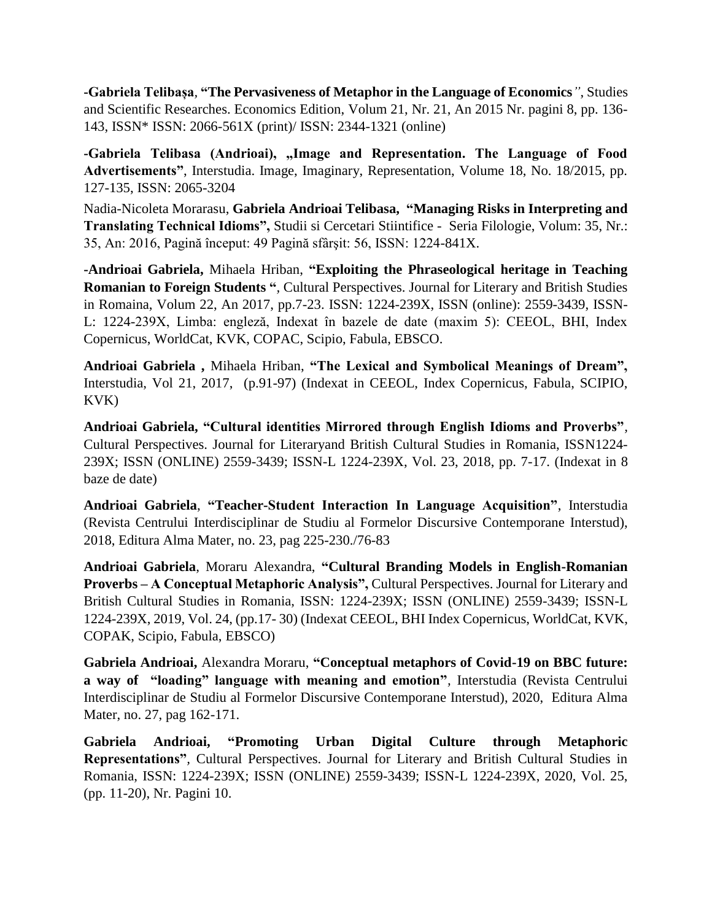**-Gabriela Telibașa***,* **"The Pervasiveness of Metaphor in the Language of Economics***"*, Studies and Scientific Researches. Economics Edition, Volum 21, Nr. 21, An 2015 Nr. pagini 8, pp. 136- 143, ISSN\* ISSN: 2066-561X (print)/ ISSN: 2344-1321 (online)

**-Gabriela Telibasa (Andrioai), "Image and Representation. The Language of Food Advertisements"**, Interstudia. Image, Imaginary, Representation, Volume 18, No. 18/2015, pp. 127-135, ISSN: 2065-3204

Nadia-Nicoleta Morarasu, **Gabriela Andrioai Telibasa, "Managing Risks in Interpreting and Translating Technical Idioms",** Studii si Cercetari Stiintifice - Seria Filologie, Volum: 35, Nr.: 35, An: 2016, Pagină început: 49 Pagină sfârşit: 56, ISSN: 1224-841X.

**-Andrioai Gabriela,** Mihaela Hriban, **"Exploiting the Phraseological heritage in Teaching Romanian to Foreign Students "***,* Cultural Perspectives. Journal for Literary and British Studies in Romaina, Volum 22, An 2017, pp.7-23. ISSN: 1224-239X, ISSN (online): 2559-3439, ISSN-L: 1224-239X, Limba: engleză, Indexat în bazele de date (maxim 5): CEEOL, BHI, Index Copernicus, WorldCat, KVK, COPAC, Scipio, Fabula, EBSCO.

**Andrioai Gabriela ,** Mihaela Hriban, **"The Lexical and Symbolical Meanings of Dream",**  Interstudia, Vol 21, 2017, (p.91-97) (Indexat in CEEOL, Index Copernicus, Fabula, SCIPIO, KVK)

**Andrioai Gabriela, "Cultural identities Mirrored through English Idioms and Proverbs"***,*  Cultural Perspectives. Journal for Literaryand British Cultural Studies in Romania, ISSN1224- 239X; ISSN (ONLINE) 2559-3439; ISSN-L 1224-239X, Vol. 23, 2018, pp. 7-17. (Indexat in 8 baze de date)

**Andrioai Gabriela**, **"Teacher-Student Interaction In Language Acquisition"**, Interstudia (Revista Centrului Interdisciplinar de Studiu al Formelor Discursive Contemporane Interstud), 2018, Editura Alma Mater, no. 23, pag 225-230./76-83

**Andrioai Gabriela**, Moraru Alexandra, **"Cultural Branding Models in English-Romanian Proverbs – A Conceptual Metaphoric Analysis",** Cultural Perspectives. Journal for Literary and British Cultural Studies in Romania, ISSN: 1224-239X; ISSN (ONLINE) 2559-3439; ISSN-L 1224-239X, 2019, Vol. 24, (pp.17- 30) (Indexat CEEOL, BHI Index Copernicus, WorldCat, KVK, COPAK, Scipio, Fabula, EBSCO)

**Gabriela Andrioai,** Alexandra Moraru, **"Conceptual metaphors of Covid-19 on BBC future: a way of "loading" language with meaning and emotion"***,* Interstudia (Revista Centrului Interdisciplinar de Studiu al Formelor Discursive Contemporane Interstud), 2020, Editura Alma Mater, no. 27, pag 162-171.

**Gabriela Andrioai, "Promoting Urban Digital Culture through Metaphoric Representations"***,* Cultural Perspectives. Journal for Literary and British Cultural Studies in Romania, ISSN: 1224-239X; ISSN (ONLINE) 2559-3439; ISSN-L 1224-239X, 2020, Vol. 25, (pp. 11-20), Nr. Pagini 10.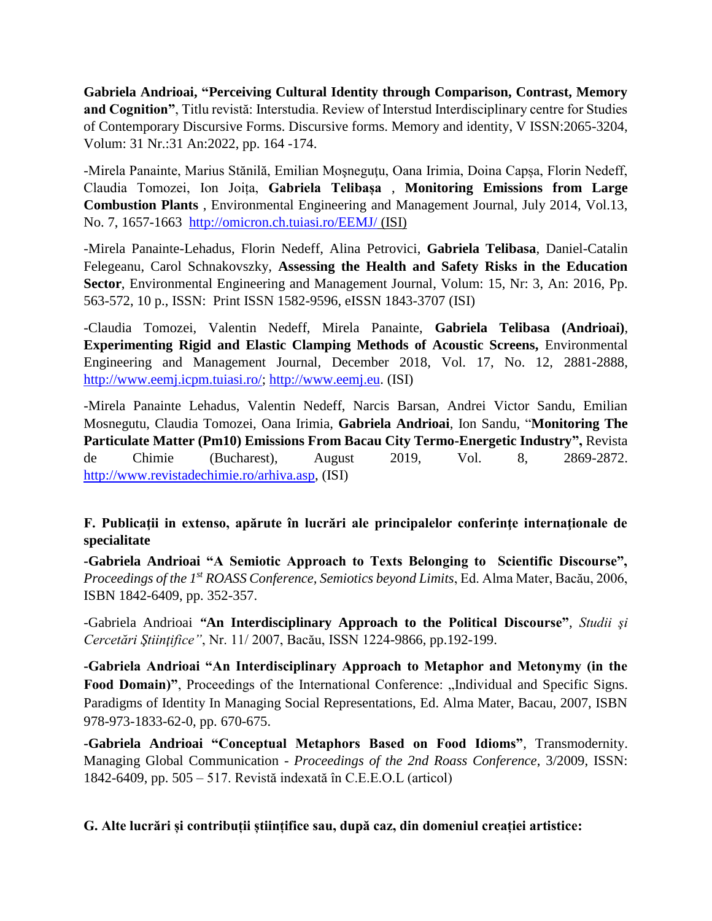**Gabriela Andrioai, "Perceiving Cultural Identity through Comparison, Contrast, Memory and Cognition"**, Titlu revistă: Interstudia. Review of Interstud Interdisciplinary centre for Studies of Contemporary Discursive Forms. Discursive forms. Memory and identity, V ISSN:2065-3204, Volum: 31 Nr.:31 An:2022, pp. 164 -174.

-Mirela Panainte, Marius Stănilă, Emilian Moşneguţu, Oana Irimia, Doina Capșa, Florin Nedeff, Claudia Tomozei, Ion Joița, **Gabriela Telibașa** , **Monitoring Emissions from Large Combustion Plants** , Environmental Engineering and Management Journal, July 2014, Vol.13, No. 7, 1657-1663 <http://omicron.ch.tuiasi.ro/EEMJ/> (ISI)

-Mirela Panainte-Lehadus, Florin Nedeff, Alina Petrovici, **Gabriela Telibasa**, Daniel-Catalin Felegeanu, Carol Schnakovszky, **Assessing the Health and Safety Risks in the Education Sector**, Environmental Engineering and Management Journal, Volum: 15, Nr: 3, An: 2016, Pp. 563-572, 10 p., ISSN: Print ISSN 1582-9596, eISSN 1843-3707 (ISI)

-Claudia Tomozei, Valentin Nedeff, Mirela Panainte, **Gabriela Telibasa (Andrioai)**, **Experimenting Rigid and Elastic Clamping Methods of Acoustic Screens,** Environmental Engineering and Management Journal, December 2018, Vol. 17, No. 12, 2881-2888, [http://www.eemj.icpm.tuiasi.ro/;](http://www.eemj.icpm.tuiasi.ro/) [http://www.eemj.eu.](http://www.eemj.eu/) (ISI)

-Mirela Panainte Lehadus, Valentin Nedeff, Narcis Barsan, Andrei Victor Sandu, Emilian Mosnegutu, Claudia Tomozei, Oana Irimia, **Gabriela Andrioai**, Ion Sandu, "**[Monitoring The](http://www.revistadechimie.ro/article_eng.asp?ID=7446)  [Particulate Matter \(Pm10\) Emissions From Bacau City Termo-Energetic Industry"](http://www.revistadechimie.ro/article_eng.asp?ID=7446),** Revista de Chimie (Bucharest), August 2019, Vol. 8, 2869-2872. [http://www.revistadechimie.ro/arhiva.asp,](http://www.revistadechimie.ro/arhiva.asp) (ISI)

# **F. Publicaţii in extenso, apărute în lucrări ale principalelor conferinţe internaţionale de specialitate**

**-Gabriela Andrioai "A Semiotic Approach to Texts Belonging to Scientific Discourse",**  *Proceedings of the 1st ROASS Conference, Semiotics beyond Limits*, Ed. Alma Mater, Bacău, 2006, ISBN 1842-6409, pp. 352-357.

-Gabriela Andrioai *"***An Interdisciplinary Approach to the Political Discourse"**, *Studii şi Cercetări Ştiinţifice"*, Nr. 11/ 2007, Bacău, ISSN 1224-9866, pp.192-199.

**-Gabriela Andrioai "An Interdisciplinary Approach to Metaphor and Metonymy (in the**  Food Domain)", Proceedings of the International Conference: "Individual and Specific Signs. Paradigms of Identity In Managing Social Representations, Ed. Alma Mater, Bacau, 2007, ISBN 978-973-1833-62-0, pp. 670-675.

**-Gabriela Andrioai "Conceptual Metaphors Based on Food Idioms"**, Transmodernity. Managing Global Communication - *Proceedings of the 2nd Roass Conference*, 3/2009, ISSN: 1842-6409, pp. 505 – 517. Revistă indexată în C.E.E.O.L (articol)

**G. Alte lucrări și contribuții științifice sau, după caz, din domeniul creației artistice:**